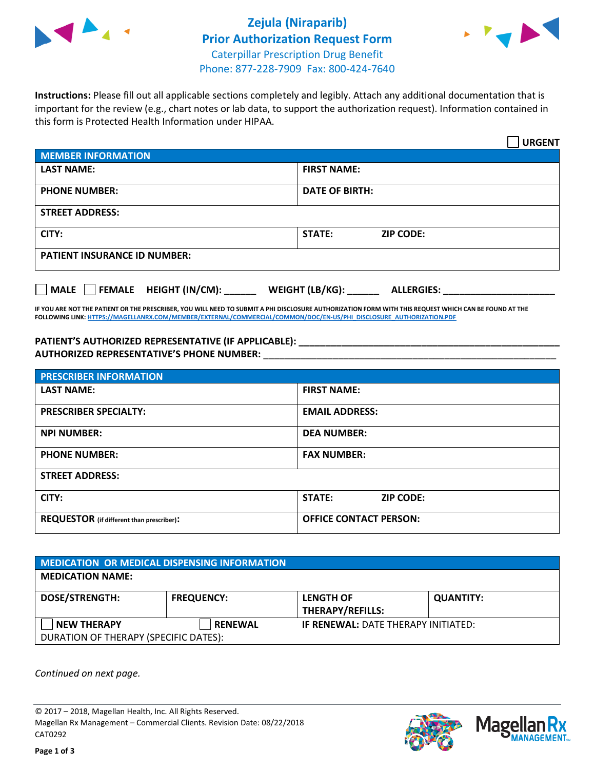

# **Zejula (Niraparib) Prior Authorization Request Form** Caterpillar Prescription Drug Benefit Phone: 877-228-7909 Fax: 800-424-7640



**Instructions:** Please fill out all applicable sections completely and legibly. Attach any additional documentation that is important for the review (e.g., chart notes or lab data, to support the authorization request). Information contained in this form is Protected Health Information under HIPAA.

|                                     | <b>URGENT</b>                        |  |  |  |
|-------------------------------------|--------------------------------------|--|--|--|
| <b>MEMBER INFORMATION</b>           |                                      |  |  |  |
| <b>LAST NAME:</b>                   | <b>FIRST NAME:</b>                   |  |  |  |
| <b>PHONE NUMBER:</b>                | <b>DATE OF BIRTH:</b>                |  |  |  |
| <b>STREET ADDRESS:</b>              |                                      |  |  |  |
| CITY:                               | <b>ZIP CODE:</b><br>STATE:           |  |  |  |
| <b>PATIENT INSURANCE ID NUMBER:</b> |                                      |  |  |  |
| FEMALE HEIGHT (IN/CM):<br>    MALE  | WEIGHT (LB/KG):<br><b>ALLERGIES:</b> |  |  |  |

**IF YOU ARE NOT THE PATIENT OR THE PRESCRIBER, YOU WILL NEED TO SUBMIT A PHI DISCLOSURE AUTHORIZATION FORM WITH THIS REQUEST WHICH CAN BE FOUND AT THE FOLLOWING LINK[: HTTPS://MAGELLANRX.COM/MEMBER/EXTERNAL/COMMERCIAL/COMMON/DOC/EN-US/PHI\\_DISCLOSURE\\_AUTHORIZATION.PDF](https://magellanrx.com/member/external/commercial/common/doc/en-us/PHI_Disclosure_Authorization.pdf)**

**PATIENT'S AUTHORIZED REPRESENTATIVE (IF APPLICABLE): \_\_\_\_\_\_\_\_\_\_\_\_\_\_\_\_\_\_\_\_\_\_\_\_\_\_\_\_\_\_\_\_\_\_\_\_\_\_\_\_\_\_\_\_\_\_\_\_\_ AUTHORIZED REPRESENTATIVE'S PHONE NUMBER:** \_\_\_\_\_\_\_\_\_\_\_\_\_\_\_\_\_\_\_\_\_\_\_\_\_\_\_\_\_\_\_\_\_\_\_\_\_\_\_\_\_\_\_\_\_\_\_\_\_\_\_\_\_\_\_

| <b>PRESCRIBER INFORMATION</b>             |                               |  |  |  |
|-------------------------------------------|-------------------------------|--|--|--|
| <b>LAST NAME:</b>                         | <b>FIRST NAME:</b>            |  |  |  |
| <b>PRESCRIBER SPECIALTY:</b>              | <b>EMAIL ADDRESS:</b>         |  |  |  |
| <b>NPI NUMBER:</b>                        | <b>DEA NUMBER:</b>            |  |  |  |
| <b>PHONE NUMBER:</b>                      | <b>FAX NUMBER:</b>            |  |  |  |
| <b>STREET ADDRESS:</b>                    |                               |  |  |  |
| CITY:                                     | STATE:<br><b>ZIP CODE:</b>    |  |  |  |
| REQUESTOR (if different than prescriber): | <b>OFFICE CONTACT PERSON:</b> |  |  |  |

| <b>MEDICATION OR MEDICAL DISPENSING INFORMATION</b>         |                   |                                             |                  |  |  |
|-------------------------------------------------------------|-------------------|---------------------------------------------|------------------|--|--|
| <b>MEDICATION NAME:</b>                                     |                   |                                             |                  |  |  |
| <b>DOSE/STRENGTH:</b>                                       | <b>FREQUENCY:</b> | <b>LENGTH OF</b><br><b>THERAPY/REFILLS:</b> | <b>QUANTITY:</b> |  |  |
| <b>NEW THERAPY</b><br>DURATION OF THERAPY (SPECIFIC DATES): | <b>RENEWAL</b>    | <b>IF RENEWAL: DATE THERAPY INITIATED:</b>  |                  |  |  |

*Continued on next page.*

© 2017 – 2018, Magellan Health, Inc. All Rights Reserved. Magellan Rx Management – Commercial Clients. Revision Date: 08/22/2018 CAT0292



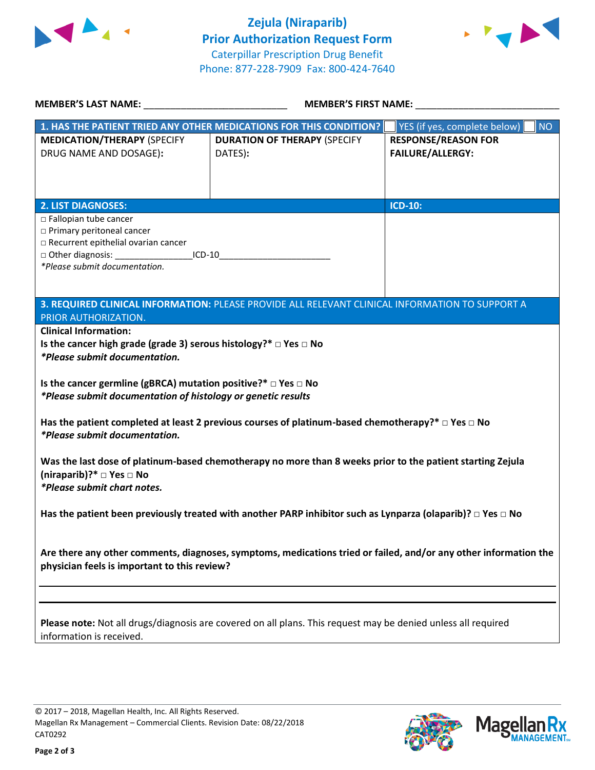



| <b>MEMBER'S LAST NAME:</b> NAME                                                                                       | <b>MEMBER'S FIRST NAME:</b>                                                                                   |                                           |  |  |
|-----------------------------------------------------------------------------------------------------------------------|---------------------------------------------------------------------------------------------------------------|-------------------------------------------|--|--|
|                                                                                                                       | 1. HAS THE PATIENT TRIED ANY OTHER MEDICATIONS FOR THIS CONDITION?                                            | YES (if yes, complete below)<br><b>NO</b> |  |  |
| <b>MEDICATION/THERAPY (SPECIFY</b>                                                                                    | <b>DURATION OF THERAPY (SPECIFY</b>                                                                           | <b>RESPONSE/REASON FOR</b>                |  |  |
| DRUG NAME AND DOSAGE):                                                                                                | DATES):                                                                                                       | <b>FAILURE/ALLERGY:</b>                   |  |  |
|                                                                                                                       |                                                                                                               |                                           |  |  |
|                                                                                                                       |                                                                                                               |                                           |  |  |
|                                                                                                                       |                                                                                                               |                                           |  |  |
| <b>2. LIST DIAGNOSES:</b>                                                                                             |                                                                                                               | <b>ICD-10:</b>                            |  |  |
| □ Fallopian tube cancer<br>□ Primary peritoneal cancer                                                                |                                                                                                               |                                           |  |  |
| □ Recurrent epithelial ovarian cancer                                                                                 |                                                                                                               |                                           |  |  |
| □ Other diagnosis: ______________________ICD-10________________________________                                       |                                                                                                               |                                           |  |  |
| *Please submit documentation.                                                                                         |                                                                                                               |                                           |  |  |
|                                                                                                                       |                                                                                                               |                                           |  |  |
|                                                                                                                       |                                                                                                               |                                           |  |  |
|                                                                                                                       | 3. REQUIRED CLINICAL INFORMATION: PLEASE PROVIDE ALL RELEVANT CLINICAL INFORMATION TO SUPPORT A               |                                           |  |  |
| PRIOR AUTHORIZATION.                                                                                                  |                                                                                                               |                                           |  |  |
| <b>Clinical Information:</b>                                                                                          |                                                                                                               |                                           |  |  |
| Is the cancer high grade (grade 3) serous histology?* $\Box$ Yes $\Box$ No                                            |                                                                                                               |                                           |  |  |
| *Please submit documentation.                                                                                         |                                                                                                               |                                           |  |  |
|                                                                                                                       |                                                                                                               |                                           |  |  |
| Is the cancer germline (gBRCA) mutation positive?* $\Box$ Yes $\Box$ No                                               |                                                                                                               |                                           |  |  |
| *Please submit documentation of histology or genetic results                                                          |                                                                                                               |                                           |  |  |
|                                                                                                                       |                                                                                                               |                                           |  |  |
|                                                                                                                       | Has the patient completed at least 2 previous courses of platinum-based chemotherapy?* $\Box$ Yes $\Box$ No   |                                           |  |  |
| <i>*Please submit documentation.</i>                                                                                  |                                                                                                               |                                           |  |  |
|                                                                                                                       |                                                                                                               |                                           |  |  |
|                                                                                                                       | Was the last dose of platinum-based chemotherapy no more than 8 weeks prior to the patient starting Zejula    |                                           |  |  |
| (niraparib)?* □ Yes □ No                                                                                              |                                                                                                               |                                           |  |  |
| *Please submit chart notes.                                                                                           |                                                                                                               |                                           |  |  |
|                                                                                                                       |                                                                                                               |                                           |  |  |
| Has the patient been previously treated with another PARP inhibitor such as Lynparza (olaparib)? $\Box$ Yes $\Box$ No |                                                                                                               |                                           |  |  |
|                                                                                                                       |                                                                                                               |                                           |  |  |
|                                                                                                                       |                                                                                                               |                                           |  |  |
| Are there any other comments, diagnoses, symptoms, medications tried or failed, and/or any other information the      |                                                                                                               |                                           |  |  |
| physician feels is important to this review?                                                                          |                                                                                                               |                                           |  |  |
|                                                                                                                       |                                                                                                               |                                           |  |  |
|                                                                                                                       |                                                                                                               |                                           |  |  |
|                                                                                                                       |                                                                                                               |                                           |  |  |
|                                                                                                                       | Please note: Not all drugs/diagnosis are covered on all plans. This request may be denied unless all required |                                           |  |  |
| information is received.                                                                                              |                                                                                                               |                                           |  |  |
|                                                                                                                       |                                                                                                               |                                           |  |  |